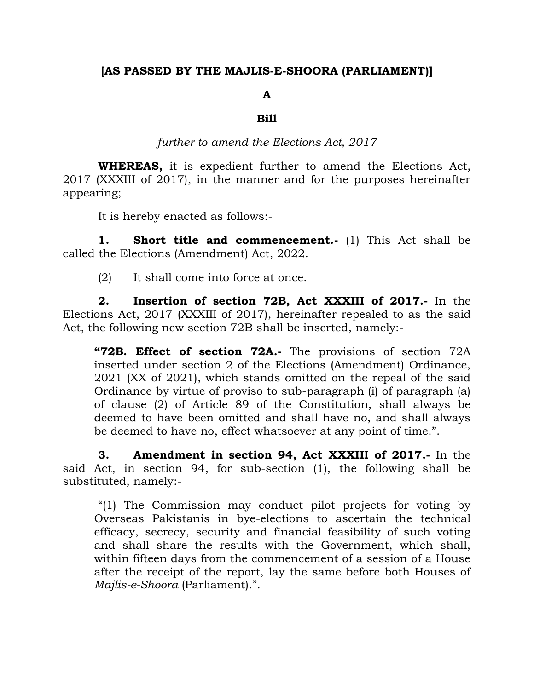## **[AS PASSED BY THE MAJLIS-E-SHOORA (PARLIAMENT)]**

## **A**

## **Bill**

*further to amend the Elections Act, 2017*

**WHEREAS,** it is expedient further to amend the Elections Act, 2017 (XXXIII of 2017), in the manner and for the purposes hereinafter appearing;

It is hereby enacted as follows:-

**1. Short title and commencement.-** (1) This Act shall be called the Elections (Amendment) Act, 2022.

(2) It shall come into force at once.

**2. Insertion of section 72B, Act XXXIII of 2017.-** In the Elections Act, 2017 (XXXIII of 2017), hereinafter repealed to as the said Act, the following new section 72B shall be inserted, namely:-

**"72B. Effect of section 72A.-** The provisions of section 72A inserted under section 2 of the Elections (Amendment) Ordinance, 2021 (XX of 2021), which stands omitted on the repeal of the said Ordinance by virtue of proviso to sub-paragraph (i) of paragraph (a) of clause (2) of Article 89 of the Constitution, shall always be deemed to have been omitted and shall have no, and shall always be deemed to have no, effect whatsoever at any point of time.".

**3. Amendment in section 94, Act XXXIII of 2017.-** In the said Act, in section 94, for sub-section (1), the following shall be substituted, namely:-

"(1) The Commission may conduct pilot projects for voting by Overseas Pakistanis in bye-elections to ascertain the technical efficacy, secrecy, security and financial feasibility of such voting and shall share the results with the Government, which shall, within fifteen days from the commencement of a session of a House after the receipt of the report, lay the same before both Houses of *Majlis-e-Shoora* (Parliament).".